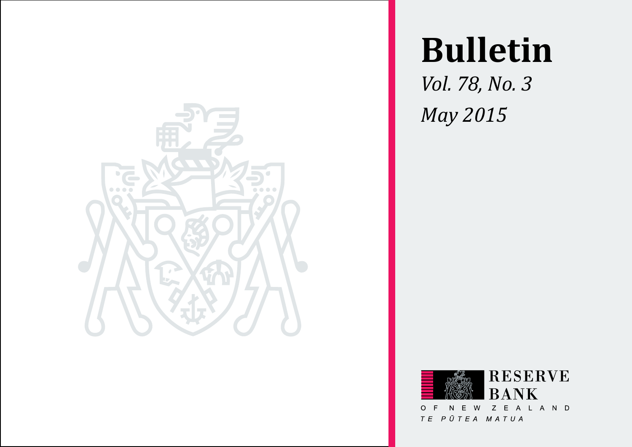

# **Bulletin**

*Vol. 78, No. 3 May 2015*

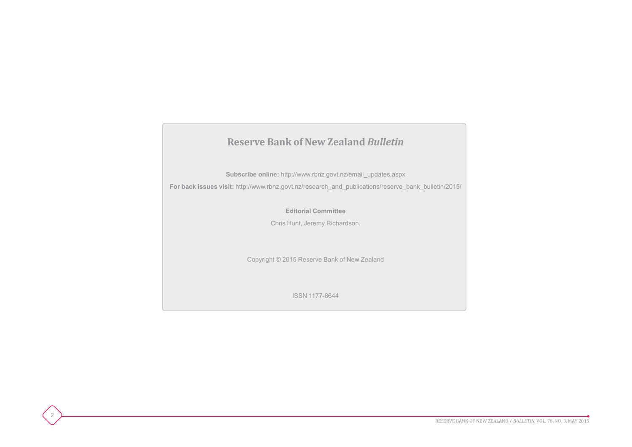## **Reserve Bank of New Zealand** *Bulletin* **Subscribe online:** [http://www.rbnz.govt.nz/email\\_updates.aspx](http://rbnz.govt.nz/email-updates) **For back issues visit:** [http://www.rbnz.govt.nz/research\\_and\\_publications/reserve\\_bank\\_bulletin/2015](http://rbnz.govt.nz/research-and-publications/reserve-bank-bulletin)/ **Editorial Committee** Chris Hunt, Jeremy Richardson. Copyright © 2015 Reserve Bank of New Zealand ISSN 1177-8644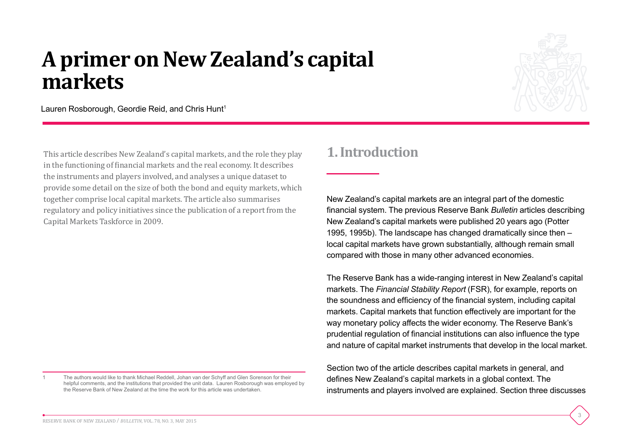## **A primer on New Zealand's capital markets**



3

Lauren Rosborough, Geordie Reid, and Chris Hunt<sup>1</sup>

This article describes New Zealand's capital markets, and the role they play in the functioning of financial markets and the real economy. It describes the instruments and players involved, and analyses a unique dataset to provide some detail on the size of both the bond and equity markets, which together comprise local capital markets. The article also summarises regulatory and policy initiatives since the publication of a report from the Capital Markets Taskforce in 2009.

1 The authors would like to thank Michael Reddell, Johan van der Schyff and Glen Sorenson for their helpful comments, and the institutions that provided the unit data. Lauren Rosborough was employed by the Reserve Bank of New Zealand at the time the work for this article was undertaken.

## **1. Introduction**

New Zealand's capital markets are an integral part of the domestic financial system. The previous Reserve Bank *Bulletin* articles describing New Zealand's capital markets were published 20 years ago (Potter 1995, 1995b). The landscape has changed dramatically since then – local capital markets have grown substantially, although remain small compared with those in many other advanced economies.

The Reserve Bank has a wide-ranging interest in New Zealand's capital markets. The *Financial Stability Report* (FSR), for example, reports on the soundness and efficiency of the financial system, including capital markets. Capital markets that function effectively are important for the way monetary policy affects the wider economy. The Reserve Bank's prudential regulation of financial institutions can also influence the type and nature of capital market instruments that develop in the local market.

Section two of the article describes capital markets in general, and defines New Zealand's capital markets in a global context. The instruments and players involved are explained. Section three discusses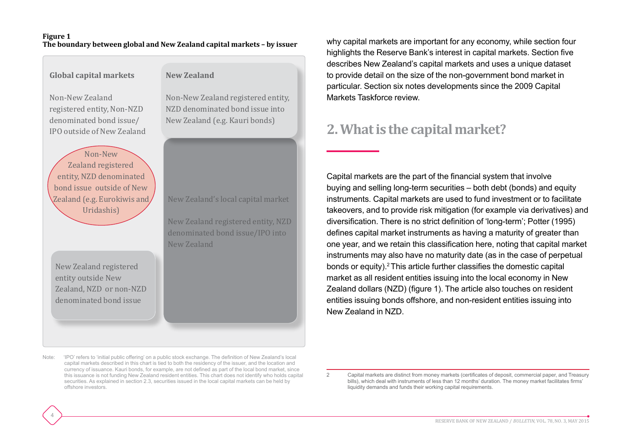#### **Figure 1 The boundary between global and New Zealand capital markets – by issuer**

| <b>Global capital markets</b>                                                                                                      | <b>New Zealand</b>                                                                                           |  |  |
|------------------------------------------------------------------------------------------------------------------------------------|--------------------------------------------------------------------------------------------------------------|--|--|
| Non-New Zealand<br>registered entity, Non-NZD<br>denominated bond issue/<br>IPO outside of New Zealand                             | Non-New Zealand registere<br>NZD denominated bond issu<br>New Zealand (e.g. Kauri bon                        |  |  |
| Non-New<br>Zealand registered<br>entity, NZD denominated<br>bond issue outside of New<br>Zealand (e.g. Eurokiwis and<br>Uridashis) | New Zealand's local capital<br>New Zealand registered ent<br>denominated bond issue/II<br><b>New Zealand</b> |  |  |
| New Zealand registered<br>entity outside New<br>Zealand, NZD or non-NZD<br>denominated bond issue                                  |                                                                                                              |  |  |

d entity. ae into New Zealand (e.g. Kauri bonds)

New Zealand's local capital market

ity, NZD O into

why capital markets are important for any economy, while section four highlights the Reserve Bank's interest in capital markets. Section five describes New Zealand's capital markets and uses a unique dataset to provide detail on the size of the non-government bond market in particular. Section six notes developments since the 2009 Capital Markets Taskforce review.

## **2. What is the capital market?**

Capital markets are the part of the financial system that involve buying and selling long-term securities – both debt (bonds) and equity instruments. Capital markets are used to fund investment or to facilitate takeovers, and to provide risk mitigation (for example via derivatives) and diversification. There is no strict definition of 'long-term'; Potter (1995) defines capital market instruments as having a maturity of greater than one year, and we retain this classification here, noting that capital market instruments may also have no maturity date (as in the case of perpetual bonds or equity).2 This article further classifies the domestic capital market as all resident entities issuing into the local economy in New Zealand dollars (NZD) (figure 1). The article also touches on resident entities issuing bonds offshore, and non-resident entities issuing into New Zealand in NZD.

Note: 'IPO' refers to 'initial public offering' on a public stock exchange. The definition of New Zealand's local capital markets described in this chart is tied to both the residency of the issuer, and the location and currency of issuance. Kauri bonds, for example, are not defined as part of the local bond market, since this issuance is not funding New Zealand resident entities. This chart does not identify who holds capital securities. As explained in section 2.3, securities issued in the local capital markets can be held by offshore investors.

4

2 Capital markets are distinct from money markets (certificates of deposit, commercial paper, and Treasury bills), which deal with instruments of less than 12 months' duration. The money market facilitates firms' liquidity demands and funds their working capital requirements.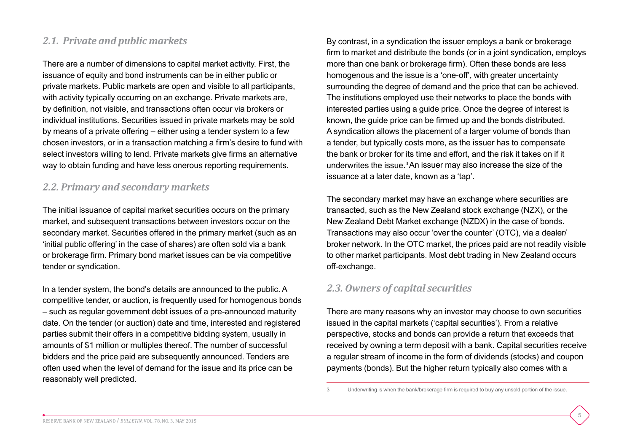#### *2.1. Private and public markets*

There are a number of dimensions to capital market activity. First, the issuance of equity and bond instruments can be in either public or private markets. Public markets are open and visible to all participants, with activity typically occurring on an exchange. Private markets are, by definition, not visible, and transactions often occur via brokers or individual institutions. Securities issued in private markets may be sold by means of a private offering – either using a tender system to a few chosen investors, or in a transaction matching a firm's desire to fund with select investors willing to lend. Private markets give firms an alternative way to obtain funding and have less onerous reporting requirements.

#### *2.2. Primary and secondary markets*

The initial issuance of capital market securities occurs on the primary market, and subsequent transactions between investors occur on the secondary market. Securities offered in the primary market (such as an 'initial public offering' in the case of shares) are often sold via a bank or brokerage firm. Primary bond market issues can be via competitive tender or syndication.

In a tender system, the bond's details are announced to the public. A competitive tender, or auction, is frequently used for homogenous bonds – such as regular government debt issues of a pre-announced maturity date. On the tender (or auction) date and time, interested and registered parties submit their offers in a competitive bidding system, usually in amounts of \$1 million or multiples thereof. The number of successful bidders and the price paid are subsequently announced. Tenders are often used when the level of demand for the issue and its price can be reasonably well predicted.

By contrast, in a syndication the issuer employs a bank or brokerage firm to market and distribute the bonds (or in a joint syndication, employs more than one bank or brokerage firm). Often these bonds are less homogenous and the issue is a 'one-off', with greater uncertainty surrounding the degree of demand and the price that can be achieved. The institutions employed use their networks to place the bonds with interested parties using a guide price. Once the degree of interest is known, the guide price can be firmed up and the bonds distributed. A syndication allows the placement of a larger volume of bonds than a tender, but typically costs more, as the issuer has to compensate the bank or broker for its time and effort, and the risk it takes on if it underwrites the issue.3 An issuer may also increase the size of the issuance at a later date, known as a 'tap'.

The secondary market may have an exchange where securities are transacted, such as the New Zealand stock exchange (NZX), or the New Zealand Debt Market exchange (NZDX) in the case of bonds. Transactions may also occur 'over the counter' (OTC), via a dealer/ broker network. In the OTC market, the prices paid are not readily visible to other market participants. Most debt trading in New Zealand occurs off-exchange.

#### *2.3. Owners of capital securities*

There are many reasons why an investor may choose to own securities issued in the capital markets ('capital securities'). From a relative perspective, stocks and bonds can provide a return that exceeds that received by owning a term deposit with a bank. Capital securities receive a regular stream of income in the form of dividends (stocks) and coupon payments (bonds). But the higher return typically also comes with a

<sup>3</sup> Underwriting is when the bank/brokerage firm is required to buy any unsold portion of the issue.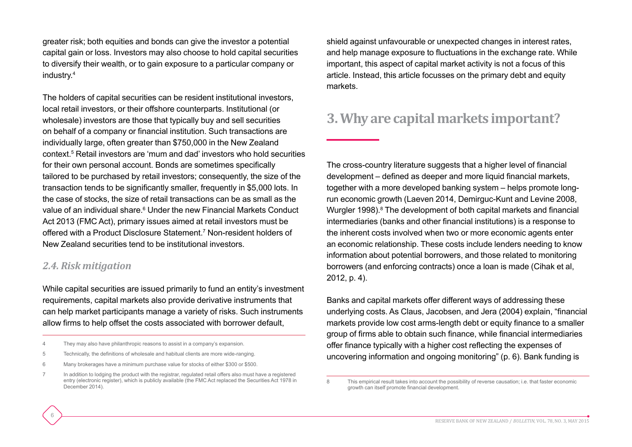greater risk; both equities and bonds can give the investor a potential capital gain or loss. Investors may also choose to hold capital securities to diversify their wealth, or to gain exposure to a particular company or industry.4

The holders of capital securities can be resident institutional investors, local retail investors, or their offshore counterparts. Institutional (or wholesale) investors are those that typically buy and sell securities on behalf of a company or financial institution. Such transactions are individually large, often greater than \$750,000 in the New Zealand context.5 Retail investors are 'mum and dad' investors who hold securities for their own personal account. Bonds are sometimes specifically tailored to be purchased by retail investors; consequently, the size of the transaction tends to be significantly smaller, frequently in \$5,000 lots. In the case of stocks, the size of retail transactions can be as small as the value of an individual share.<sup>6</sup> Under the new Financial Markets Conduct Act 2013 (FMC Act), primary issues aimed at retail investors must be offered with a Product Disclosure Statement.7 Non-resident holders of New Zealand securities tend to be institutional investors.

#### *2.4. Risk mitigation*

6

While capital securities are issued primarily to fund an entity's investment requirements, capital markets also provide derivative instruments that can help market participants manage a variety of risks. Such instruments allow firms to help offset the costs associated with borrower default,

- 5 Technically, the definitions of wholesale and habitual clients are more wide-ranging.
- 6 Many brokerages have a minimum purchase value for stocks of either \$300 or \$500.
- 7 In addition to lodging the product with the registrar, regulated retail offers also must have a registered entry (electronic register), which is publicly available (the FMC Act replaced the Securities Act 1978 in December 2014).

shield against unfavourable or unexpected changes in interest rates, and help manage exposure to fluctuations in the exchange rate. While important, this aspect of capital market activity is not a focus of this article. Instead, this article focusses on the primary debt and equity markets.

## **3. Why are capital markets important?**

The cross-country literature suggests that a higher level of financial development – defined as deeper and more liquid financial markets, together with a more developed banking system – helps promote longrun economic growth (Laeven 2014, Demirguc-Kunt and Levine 2008, Wurgler 1998).<sup>8</sup> The development of both capital markets and financial intermediaries (banks and other financial institutions) is a response to the inherent costs involved when two or more economic agents enter an economic relationship. These costs include lenders needing to know information about potential borrowers, and those related to monitoring borrowers (and enforcing contracts) once a loan is made (Cihak et al, 2012, p. 4).

Banks and capital markets offer different ways of addressing these underlying costs. As Claus, Jacobsen, and Jera (2004) explain, "financial markets provide low cost arms-length debt or equity finance to a smaller group of firms able to obtain such finance, while financial intermediaries offer finance typically with a higher cost reflecting the expenses of uncovering information and ongoing monitoring" (p. 6). Bank funding is

<sup>4</sup> They may also have philanthropic reasons to assist in a company's expansion.

<sup>8</sup> This empirical result takes into account the possibility of reverse causation; i.e. that faster economic growth can itself promote financial development.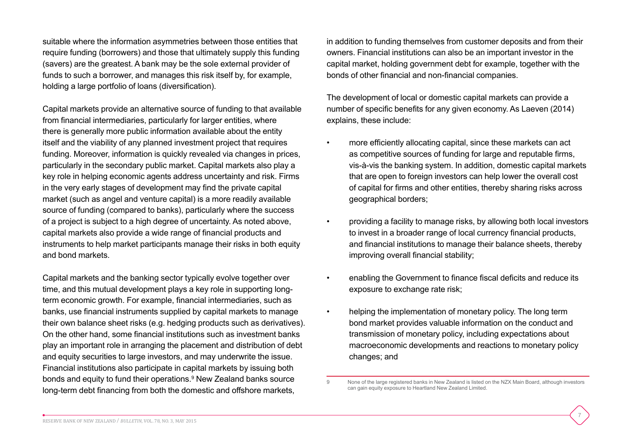suitable where the information asymmetries between those entities that require funding (borrowers) and those that ultimately supply this funding (savers) are the greatest. A bank may be the sole external provider of funds to such a borrower, and manages this risk itself by, for example, holding a large portfolio of loans (diversification).

Capital markets provide an alternative source of funding to that available from financial intermediaries, particularly for larger entities, where there is generally more public information available about the entity itself and the viability of any planned investment project that requires funding. Moreover, information is quickly revealed via changes in prices, particularly in the secondary public market. Capital markets also play a key role in helping economic agents address uncertainty and risk. Firms in the very early stages of development may find the private capital market (such as angel and venture capital) is a more readily available source of funding (compared to banks), particularly where the success of a project is subject to a high degree of uncertainty. As noted above, capital markets also provide a wide range of financial products and instruments to help market participants manage their risks in both equity and bond markets.

Capital markets and the banking sector typically evolve together over time, and this mutual development plays a key role in supporting longterm economic growth. For example, financial intermediaries, such as banks, use financial instruments supplied by capital markets to manage their own balance sheet risks (e.g. hedging products such as derivatives). On the other hand, some financial institutions such as investment banks play an important role in arranging the placement and distribution of debt and equity securities to large investors, and may underwrite the issue. Financial institutions also participate in capital markets by issuing both bonds and equity to fund their operations.<sup>9</sup> New Zealand banks source long-term debt financing from both the domestic and offshore markets,

in addition to funding themselves from customer deposits and from their owners. Financial institutions can also be an important investor in the capital market, holding government debt for example, together with the bonds of other financial and non-financial companies.

The development of local or domestic capital markets can provide a number of specific benefits for any given economy. As Laeven (2014) explains, these include:

- more efficiently allocating capital, since these markets can act as competitive sources of funding for large and reputable firms, vis-à-vis the banking system. In addition, domestic capital markets that are open to foreign investors can help lower the overall cost of capital for firms and other entities, thereby sharing risks across geographical borders;
- providing a facility to manage risks, by allowing both local investors to invest in a broader range of local currency financial products, and financial institutions to manage their balance sheets, thereby improving overall financial stability;
- enabling the Government to finance fiscal deficits and reduce its exposure to exchange rate risk;
- helping the implementation of monetary policy. The long term bond market provides valuable information on the conduct and transmission of monetary policy, including expectations about macroeconomic developments and reactions to monetary policy changes; and

<sup>9</sup> None of the large registered banks in New Zealand is listed on the NZX Main Board, although investors can gain equity exposure to Heartland New Zealand Limited.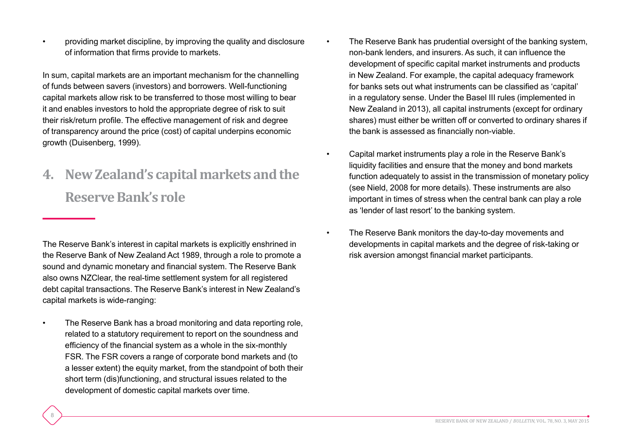• providing market discipline, by improving the quality and disclosure of information that firms provide to markets.

In sum, capital markets are an important mechanism for the channelling of funds between savers (investors) and borrowers. Well-functioning capital markets allow risk to be transferred to those most willing to bear it and enables investors to hold the appropriate degree of risk to suit their risk/return profile. The effective management of risk and degree of transparency around the price (cost) of capital underpins economic growth (Duisenberg, 1999).

## **4. New Zealand's capital markets and the Reserve Bank's role**

The Reserve Bank's interest in capital markets is explicitly enshrined in the Reserve Bank of New Zealand Act 1989, through a role to promote a sound and dynamic monetary and financial system. The Reserve Bank also owns NZClear, the real-time settlement system for all registered debt capital transactions. The Reserve Bank's interest in New Zealand's capital markets is wide-ranging:

• The Reserve Bank has a broad monitoring and data reporting role, related to a statutory requirement to report on the soundness and efficiency of the financial system as a whole in the six-monthly FSR. The FSR covers a range of corporate bond markets and (to a lesser extent) the equity market, from the standpoint of both their short term (dis)functioning, and structural issues related to the development of domestic capital markets over time.

- The Reserve Bank has prudential oversight of the banking system, non-bank lenders, and insurers. As such, it can influence the development of specific capital market instruments and products in New Zealand. For example, the capital adequacy framework for banks sets out what instruments can be classified as 'capital' in a regulatory sense. Under the Basel III rules (implemented in New Zealand in 2013), all capital instruments (except for ordinary shares) must either be written off or converted to ordinary shares if the bank is assessed as financially non-viable.
- Capital market instruments play a role in the Reserve Bank's liquidity facilities and ensure that the money and bond markets function adequately to assist in the transmission of monetary policy (see Nield, 2008 for more details). These instruments are also important in times of stress when the central bank can play a role as 'lender of last resort' to the banking system.
- The Reserve Bank monitors the day-to-day movements and developments in capital markets and the degree of risk-taking or risk aversion amongst financial market participants.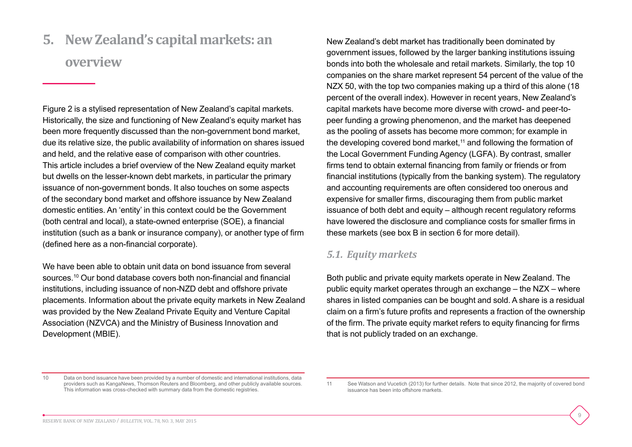**5. New Zealand's capital markets: an overview**

Figure 2 is a stylised representation of New Zealand's capital markets. Historically, the size and functioning of New Zealand's equity market has been more frequently discussed than the non-government bond market, due its relative size, the public availability of information on shares issued and held, and the relative ease of comparison with other countries. This article includes a brief overview of the New Zealand equity market but dwells on the lesser-known debt markets, in particular the primary issuance of non-government bonds. It also touches on some aspects of the secondary bond market and offshore issuance by New Zealand domestic entities. An 'entity' in this context could be the Government (both central and local), a state-owned enterprise (SOE), a financial institution (such as a bank or insurance company), or another type of firm (defined here as a non-financial corporate).

We have been able to obtain unit data on bond issuance from several sources.10 Our bond database covers both non-financial and financial institutions, including issuance of non-NZD debt and offshore private placements. Information about the private equity markets in New Zealand was provided by the New Zealand Private Equity and Venture Capital Association (NZVCA) and the Ministry of Business Innovation and Development (MBIE).

New Zealand's debt market has traditionally been dominated by government issues, followed by the larger banking institutions issuing bonds into both the wholesale and retail markets. Similarly, the top 10 companies on the share market represent 54 percent of the value of the NZX 50, with the top two companies making up a third of this alone (18 percent of the overall index). However in recent years, New Zealand's capital markets have become more diverse with crowd- and peer-topeer funding a growing phenomenon, and the market has deepened as the pooling of assets has become more common; for example in the developing covered bond market, $11$  and following the formation of the Local Government Funding Agency (LGFA). By contrast, smaller firms tend to obtain external financing from family or friends or from financial institutions (typically from the banking system). The regulatory and accounting requirements are often considered too onerous and expensive for smaller firms, discouraging them from public market issuance of both debt and equity – although recent regulatory reforms have lowered the disclosure and compliance costs for smaller firms in these markets (see box B in section 6 for more detail).

#### *5.1. Equity markets*

Both public and private equity markets operate in New Zealand. The public equity market operates through an exchange – the NZX – where shares in listed companies can be bought and sold. A share is a residual claim on a firm's future profits and represents a fraction of the ownership of the firm. The private equity market refers to equity financing for firms that is not publicly traded on an exchange.

<sup>10</sup> Data on bond issuance have been provided by a number of domestic and international institutions, data providers such as KangaNews, Thomson Reuters and Bloomberg, and other publicly available sources. This information was cross-checked with summary data from the domestic registries.

<sup>11</sup> See Watson and Vucetich (2013) for further details. Note that since 2012, the majority of covered bond issuance has been into offshore markets.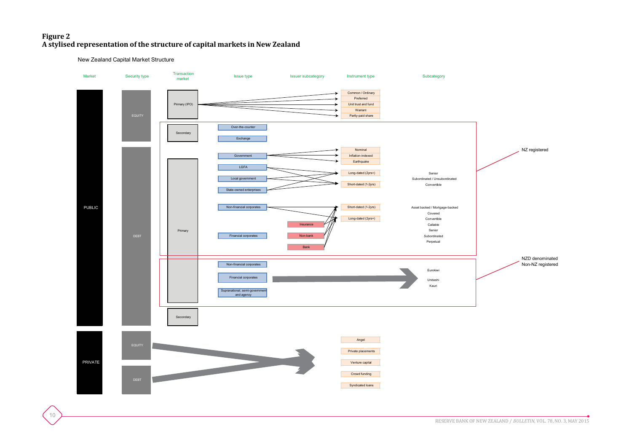#### **Figure 2 A stylised representation of the structure of capital markets in New Zealand**

New Zealand Capital Market Structure

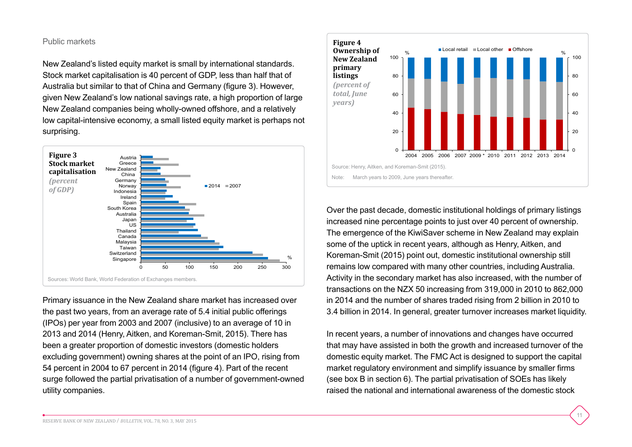#### Public markets

New Zealand's listed equity market is small by international standards. Stock market capitalisation is 40 percent of GDP, less than half that of Australia but similar to that of China and Germany (figure 3). However, given New Zealand's low national savings rate, a high proportion of large New Zealand companies being wholly-owned offshore, and a relatively low capital-intensive economy, a small listed equity market is perhaps not surprising.



Primary issuance in the New Zealand share market has increased over the past two years, from an average rate of 5.4 initial public offerings (IPOs) per year from 2003 and 2007 (inclusive) to an average of 10 in 2013 and 2014 (Henry, Aitken, and Koreman-Smit, 2015). There has been a greater proportion of domestic investors (domestic holders excluding government) owning shares at the point of an IPO, rising from 54 percent in 2004 to 67 percent in 2014 (figure 4). Part of the recent surge followed the partial privatisation of a number of government-owned utility companies.



Over the past decade, domestic institutional holdings of primary listings increased nine percentage points to just over 40 percent of ownership. The emergence of the KiwiSaver scheme in New Zealand may explain some of the uptick in recent years, although as Henry, Aitken, and Koreman-Smit (2015) point out, domestic institutional ownership still remains low compared with many other countries, including Australia. Activity in the secondary market has also increased, with the number of transactions on the NZX 50 increasing from 319,000 in 2010 to 862,000 in 2014 and the number of shares traded rising from 2 billion in 2010 to 3.4 billion in 2014. In general, greater turnover increases market liquidity.

In recent years, a number of innovations and changes have occurred that may have assisted in both the growth and increased turnover of the domestic equity market. The FMC Act is designed to support the capital market regulatory environment and simplify issuance by smaller firms (see box B in section 6). The partial privatisation of SOEs has likely raised the national and international awareness of the domestic stock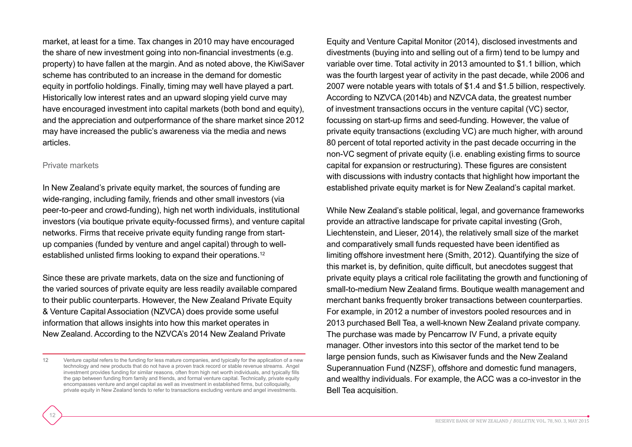market, at least for a time. Tax changes in 2010 may have encouraged the share of new investment going into non-financial investments (e.g. property) to have fallen at the margin. And as noted above, the KiwiSaver scheme has contributed to an increase in the demand for domestic equity in portfolio holdings. Finally, timing may well have played a part. Historically low interest rates and an upward sloping yield curve may have encouraged investment into capital markets (both bond and equity), and the appreciation and outperformance of the share market since 2012 may have increased the public's awareness via the media and news articles.

#### Private markets

12

In New Zealand's private equity market, the sources of funding are wide-ranging, including family, friends and other small investors (via peer-to-peer and crowd-funding), high net worth individuals, institutional investors (via boutique private equity-focussed firms), and venture capital networks. Firms that receive private equity funding range from startup companies (funded by venture and angel capital) through to wellestablished unlisted firms looking to expand their operations.<sup>12</sup>

Since these are private markets, data on the size and functioning of the varied sources of private equity are less readily available compared to their public counterparts. However, the New Zealand Private Equity & Venture Capital Association (NZVCA) does provide some useful information that allows insights into how this market operates in New Zealand. According to the NZVCA's 2014 New Zealand Private

Equity and Venture Capital Monitor (2014), disclosed investments and divestments (buying into and selling out of a firm) tend to be lumpy and variable over time. Total activity in 2013 amounted to \$1.1 billion, which was the fourth largest year of activity in the past decade, while 2006 and 2007 were notable years with totals of \$1.4 and \$1.5 billion, respectively. According to NZVCA (2014b) and NZVCA data, the greatest number of investment transactions occurs in the venture capital (VC) sector, focussing on start-up firms and seed-funding. However, the value of private equity transactions (excluding VC) are much higher, with around 80 percent of total reported activity in the past decade occurring in the non-VC segment of private equity (i.e. enabling existing firms to source capital for expansion or restructuring). These figures are consistent with discussions with industry contacts that highlight how important the established private equity market is for New Zealand's capital market.

While New Zealand's stable political, legal, and governance frameworks provide an attractive landscape for private capital investing (Groh, Liechtenstein, and Lieser, 2014), the relatively small size of the market and comparatively small funds requested have been identified as limiting offshore investment here (Smith, 2012). Quantifying the size of this market is, by definition, quite difficult, but anecdotes suggest that private equity plays a critical role facilitating the growth and functioning of small-to-medium New Zealand firms. Boutique wealth management and merchant banks frequently broker transactions between counterparties. For example, in 2012 a number of investors pooled resources and in 2013 purchased Bell Tea, a well-known New Zealand private company. The purchase was made by Pencarrow IV Fund, a private equity manager. Other investors into this sector of the market tend to be large pension funds, such as Kiwisaver funds and the New Zealand Superannuation Fund (NZSF), offshore and domestic fund managers, and wealthy individuals. For example, the ACC was a co-investor in the Bell Tea acquisition.

<sup>12</sup> Venture capital refers to the funding for less mature companies, and typically for the application of a new technology and new products that do not have a proven track record or stable revenue streams. Angel investment provides funding for similar reasons, often from high net worth individuals, and typically fills the gap between funding from family and friends, and formal venture capital. Technically, private equity encompasses venture and angel capital as well as investment in established firms, but colloquially, private equity in New Zealand tends to refer to transactions excluding venture and angel investments.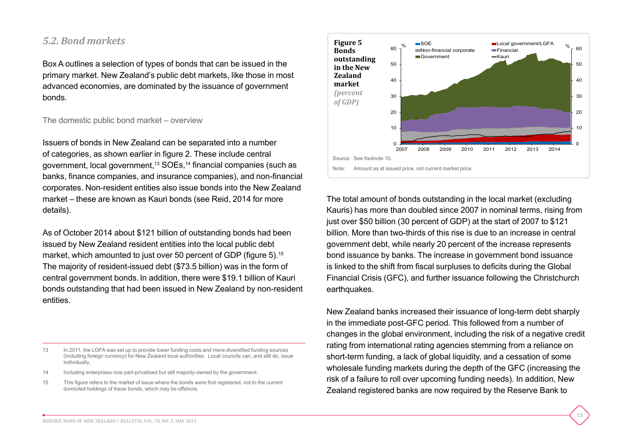#### *5.2. Bond markets*

Box A outlines a selection of types of bonds that can be issued in the primary market. New Zealand's public debt markets, like those in most advanced economies, are dominated by the issuance of government bonds.

The domestic public bond market – overview

Issuers of bonds in New Zealand can be separated into a number of categories, as shown earlier in figure 2. These include central government, local government,13 SOEs,<sup>14</sup> financial companies (such as banks, finance companies, and insurance companies), and non-financial corporates. Non-resident entities also issue bonds into the New Zealand market – these are known as Kauri bonds (see Reid, 2014 for more details).

As of October 2014 about \$121 billion of outstanding bonds had been issued by New Zealand resident entities into the local public debt market, which amounted to just over 50 percent of GDP (figure 5).<sup>15</sup> The majority of resident-issued debt (\$73.5 billion) was in the form of central government bonds. In addition, there were \$19.1 billion of Kauri bonds outstanding that had been issued in New Zealand by non-resident entities.

- 14 Including enterprises now part-privatised but still majority-owned by the government.
- 15 This figure refers to the market of issue where the bonds were first registered, not to the current domiciled holdings of these bonds, which may be offshore.



The total amount of bonds outstanding in the local market (excluding Kauris) has more than doubled since 2007 in nominal terms, rising from just over \$50 billion (30 percent of GDP) at the start of 2007 to \$121 billion. More than two-thirds of this rise is due to an increase in central government debt, while nearly 20 percent of the increase represents bond issuance by banks. The increase in government bond issuance is linked to the shift from fiscal surpluses to deficits during the Global Financial Crisis (GFC), and further issuance following the Christchurch earthquakes.

New Zealand banks increased their issuance of long-term debt sharply in the immediate post-GFC period. This followed from a number of changes in the global environment, including the risk of a negative credit rating from international rating agencies stemming from a reliance on short-term funding, a lack of global liquidity, and a cessation of some wholesale funding markets during the depth of the GFC (increasing the risk of a failure to roll over upcoming funding needs). In addition, New Zealand registered banks are now required by the Reserve Bank to

<sup>13</sup> In 2011, the LGFA was set up to provide lower funding costs and more diversified funding sources (including foreign currency) for New Zealand local authorities. Local councils can, and still do, issue individually.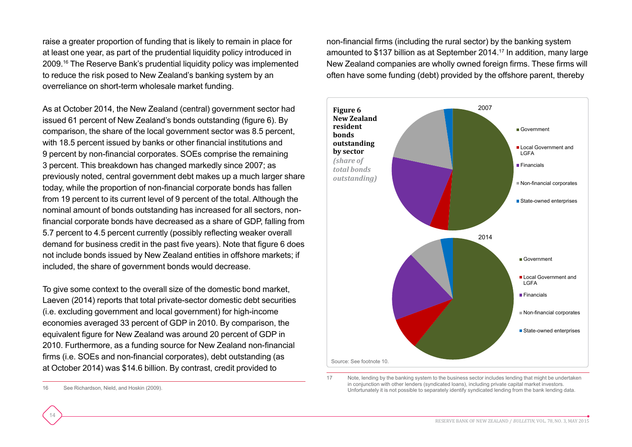raise a greater proportion of funding that is likely to remain in place for at least one year, as part of the prudential liquidity policy introduced in 2009.16 The Reserve Bank's prudential liquidity policy was implemented to reduce the risk posed to New Zealand's banking system by an overreliance on short-term wholesale market funding.

As at October 2014, the New Zealand (central) government sector had issued 61 percent of New Zealand's bonds outstanding (figure 6). By comparison, the share of the local government sector was 8.5 percent, with 18.5 percent issued by banks or other financial institutions and 9 percent by non-financial corporates. SOEs comprise the remaining 3 percent. This breakdown has changed markedly since 2007; as previously noted, central government debt makes up a much larger share today, while the proportion of non-financial corporate bonds has fallen from 19 percent to its current level of 9 percent of the total. Although the nominal amount of bonds outstanding has increased for all sectors, nonfinancial corporate bonds have decreased as a share of GDP, falling from 5.7 percent to 4.5 percent currently (possibly reflecting weaker overall demand for business credit in the past five years). Note that figure 6 does not include bonds issued by New Zealand entities in offshore markets; if included, the share of government bonds would decrease.

To give some context to the overall size of the domestic bond market, Laeven (2014) reports that total private-sector domestic debt securities (i.e. excluding government and local government) for high-income economies averaged 33 percent of GDP in 2010. By comparison, the equivalent figure for New Zealand was around 20 percent of GDP in 2010. Furthermore, as a funding source for New Zealand non-financial firms (i.e. SOEs and non-financial corporates), debt outstanding (as at October 2014) was \$14.6 billion. By contrast, credit provided to

16 See Richardson, Nield, and Hoskin (2009).

14

non-financial firms (including the rural sector) by the banking system amounted to \$137 billion as at September 2014.17 In addition, many large New Zealand companies are wholly owned foreign firms. These firms will often have some funding (debt) provided by the offshore parent, thereby



17 Note, lending by the banking system to the business sector includes lending that might be undertaken in conjunction with other lenders (syndicated loans), including private capital market investors. Unfortunately it is not possible to separately identify syndicated lending from the bank lending data.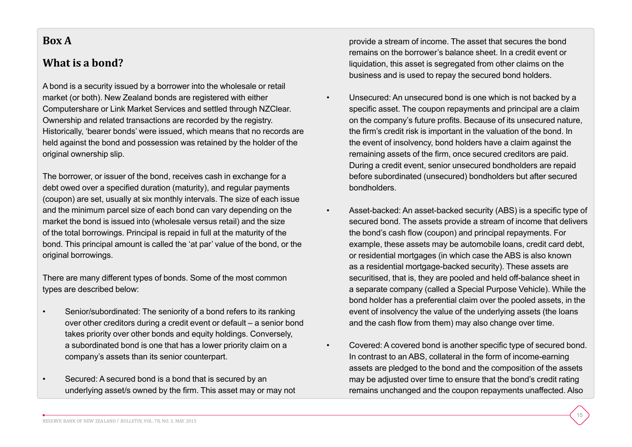#### **Box A**

#### **What is a bond?**

A bond is a security issued by a borrower into the wholesale or retail market (or both). New Zealand bonds are registered with either Computershare or Link Market Services and settled through NZClear. Ownership and related transactions are recorded by the registry. Historically, 'bearer bonds' were issued, which means that no records are held against the bond and possession was retained by the holder of the original ownership slip.

The borrower, or issuer of the bond, receives cash in exchange for a debt owed over a specified duration (maturity), and regular payments (coupon) are set, usually at six monthly intervals. The size of each issue and the minimum parcel size of each bond can vary depending on the market the bond is issued into (wholesale versus retail) and the size of the total borrowings. Principal is repaid in full at the maturity of the bond. This principal amount is called the 'at par' value of the bond, or the original borrowings.

There are many different types of bonds. Some of the most common types are described below:

- Senior/subordinated: The seniority of a bond refers to its ranking over other creditors during a credit event or default – a senior bond takes priority over other bonds and equity holdings. Conversely, a subordinated bond is one that has a lower priority claim on a company's assets than its senior counterpart.
- Secured: A secured bond is a bond that is secured by an underlying asset/s owned by the firm. This asset may or may not

provide a stream of income. The asset that secures the bond remains on the borrower's balance sheet. In a credit event or liquidation, this asset is segregated from other claims on the business and is used to repay the secured bond holders.

- Unsecured: An unsecured bond is one which is not backed by a specific asset. The coupon repayments and principal are a claim on the company's future profits. Because of its unsecured nature, the firm's credit risk is important in the valuation of the bond. In the event of insolvency, bond holders have a claim against the remaining assets of the firm, once secured creditors are paid. During a credit event, senior unsecured bondholders are repaid before subordinated (unsecured) bondholders but after secured bondholders.
- Asset-backed: An asset-backed security (ABS) is a specific type of secured bond. The assets provide a stream of income that delivers the bond's cash flow (coupon) and principal repayments. For example, these assets may be automobile loans, credit card debt, or residential mortgages (in which case the ABS is also known as a residential mortgage-backed security). These assets are securitised, that is, they are pooled and held off-balance sheet in a separate company (called a Special Purpose Vehicle). While the bond holder has a preferential claim over the pooled assets, in the event of insolvency the value of the underlying assets (the loans and the cash flow from them) may also change over time.
- Covered: A covered bond is another specific type of secured bond. In contrast to an ABS, collateral in the form of income-earning assets are pledged to the bond and the composition of the assets may be adjusted over time to ensure that the bond's credit rating remains unchanged and the coupon repayments unaffected. Also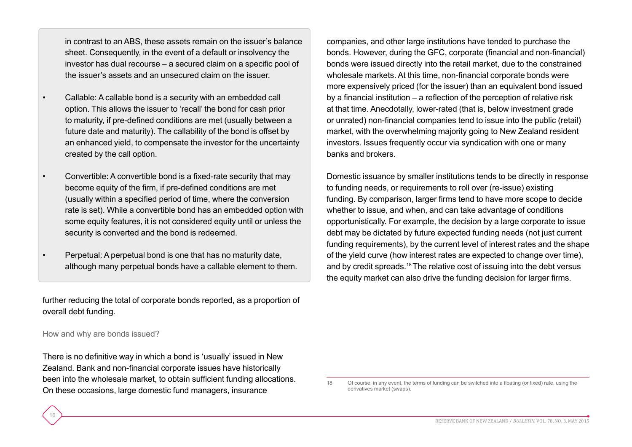in contrast to an ABS, these assets remain on the issuer's balance sheet. Consequently, in the event of a default or insolvency the investor has dual recourse – a secured claim on a specific pool of the issuer's assets and an unsecured claim on the issuer.

- Callable: A callable bond is a security with an embedded call option. This allows the issuer to 'recall' the bond for cash prior to maturity, if pre-defined conditions are met (usually between a future date and maturity). The callability of the bond is offset by an enhanced yield, to compensate the investor for the uncertainty created by the call option.
- Convertible: A convertible bond is a fixed-rate security that may become equity of the firm, if pre-defined conditions are met (usually within a specified period of time, where the conversion rate is set). While a convertible bond has an embedded option with some equity features, it is not considered equity until or unless the security is converted and the bond is redeemed.
- Perpetual: A perpetual bond is one that has no maturity date, although many perpetual bonds have a callable element to them.

further reducing the total of corporate bonds reported, as a proportion of overall debt funding.

#### How and why are bonds issued?

16

There is no definitive way in which a bond is 'usually' issued in New Zealand. Bank and non-financial corporate issues have historically been into the wholesale market, to obtain sufficient funding allocations. On these occasions, large domestic fund managers, insurance

companies, and other large institutions have tended to purchase the bonds. However, during the GFC, corporate (financial and non-financial) bonds were issued directly into the retail market, due to the constrained wholesale markets. At this time, non-financial corporate bonds were more expensively priced (for the issuer) than an equivalent bond issued by a financial institution – a reflection of the perception of relative risk at that time. Anecdotally, lower-rated (that is, below investment grade or unrated) non-financial companies tend to issue into the public (retail) market, with the overwhelming majority going to New Zealand resident investors. Issues frequently occur via syndication with one or many banks and brokers.

Domestic issuance by smaller institutions tends to be directly in response to funding needs, or requirements to roll over (re-issue) existing funding. By comparison, larger firms tend to have more scope to decide whether to issue, and when, and can take advantage of conditions opportunistically. For example, the decision by a large corporate to issue debt may be dictated by future expected funding needs (not just current funding requirements), by the current level of interest rates and the shape of the yield curve (how interest rates are expected to change over time), and by credit spreads.<sup>18</sup> The relative cost of issuing into the debt versus the equity market can also drive the funding decision for larger firms.

<sup>18</sup> Of course, in any event, the terms of funding can be switched into a floating (or fixed) rate, using the derivatives market (swaps).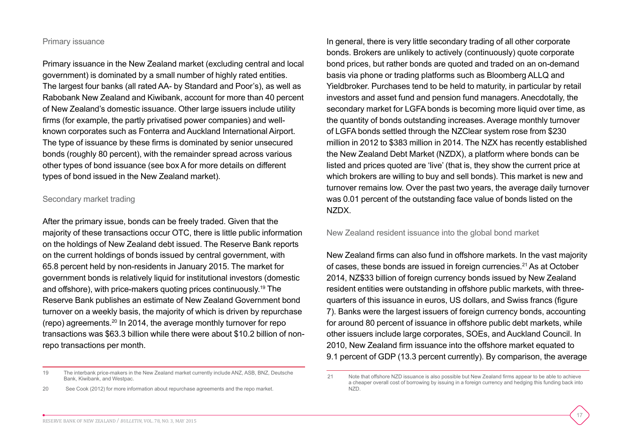#### Primary issuance

Primary issuance in the New Zealand market (excluding central and local government) is dominated by a small number of highly rated entities. The largest four banks (all rated AA- by Standard and Poor's), as well as Rabobank New Zealand and Kiwibank, account for more than 40 percent of New Zealand's domestic issuance. Other large issuers include utility firms (for example, the partly privatised power companies) and wellknown corporates such as Fonterra and Auckland International Airport. The type of issuance by these firms is dominated by senior unsecured bonds (roughly 80 percent), with the remainder spread across various other types of bond issuance (see box A for more details on different types of bond issued in the New Zealand market).

#### Secondary market trading

After the primary issue, bonds can be freely traded. Given that the majority of these transactions occur OTC, there is little public information on the holdings of New Zealand debt issued. The Reserve Bank reports on the current holdings of bonds issued by central government, with 65.8 percent held by non-residents in January 2015. The market for government bonds is relatively liquid for institutional investors (domestic and offshore), with price-makers quoting prices continuously.19 The Reserve Bank publishes an estimate of New Zealand Government bond turnover on a weekly basis, the majority of which is driven by repurchase (repo) agreements.20 In 2014, the average monthly turnover for repo transactions was \$63.3 billion while there were about \$10.2 billion of nonrepo transactions per month.

In general, there is very little secondary trading of all other corporate bonds. Brokers are unlikely to actively (continuously) quote corporate bond prices, but rather bonds are quoted and traded on an on-demand basis via phone or trading platforms such as Bloomberg ALLQ and Yieldbroker. Purchases tend to be held to maturity, in particular by retail investors and asset fund and pension fund managers. Anecdotally, the secondary market for LGFA bonds is becoming more liquid over time, as the quantity of bonds outstanding increases. Average monthly turnover of LGFA bonds settled through the NZClear system rose from \$230 million in 2012 to \$383 million in 2014. The NZX has recently established the New Zealand Debt Market (NZDX), a platform where bonds can be listed and prices quoted are 'live' (that is, they show the current price at which brokers are willing to buy and sell bonds). This market is new and turnover remains low. Over the past two years, the average daily turnover was 0.01 percent of the outstanding face value of bonds listed on the NZDX.

#### New Zealand resident issuance into the global bond market

New Zealand firms can also fund in offshore markets. In the vast majority of cases, these bonds are issued in foreign currencies.21 As at October 2014, NZ\$33 billion of foreign currency bonds issued by New Zealand resident entities were outstanding in offshore public markets, with threequarters of this issuance in euros, US dollars, and Swiss francs (figure 7). Banks were the largest issuers of foreign currency bonds, accounting for around 80 percent of issuance in offshore public debt markets, while other issuers include large corporates, SOEs, and Auckland Council. In 2010, New Zealand firm issuance into the offshore market equated to 9.1 percent of GDP (13.3 percent currently). By comparison, the average

<sup>19</sup> The interbank price-makers in the New Zealand market currently include ANZ, ASB, BNZ, Deutsche Bank, Kiwibank, and Westpac.

<sup>20</sup> See Cook (2012) for more information about repurchase agreements and the repo market.

<sup>21</sup> Note that offshore NZD issuance is also possible but New Zealand firms appear to be able to achieve a cheaper overall cost of borrowing by issuing in a foreign currency and hedging this funding back into NZD.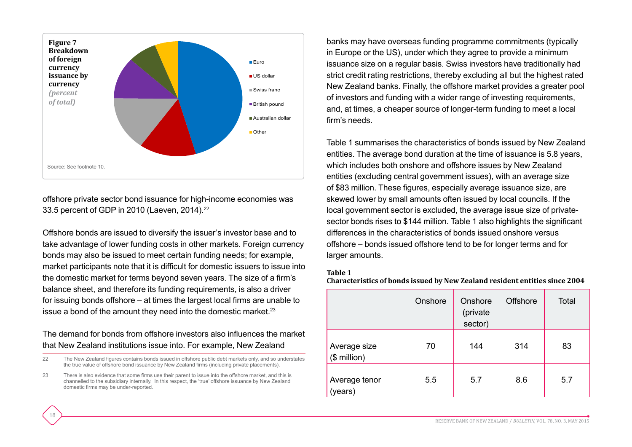

offshore private sector bond issuance for high-income economies was 33.5 percent of GDP in 2010 (Laeven, 2014).22

Offshore bonds are issued to diversify the issuer's investor base and to take advantage of lower funding costs in other markets. Foreign currency bonds may also be issued to meet certain funding needs; for example, market participants note that it is difficult for domestic issuers to issue into the domestic market for terms beyond seven years. The size of a firm's balance sheet, and therefore its funding requirements, is also a driver for issuing bonds offshore – at times the largest local firms are unable to issue a bond of the amount they need into the domestic market.<sup>23</sup>

#### The demand for bonds from offshore investors also influences the market that New Zealand institutions issue into. For example, New Zealand

- 22 The New Zealand figures contains bonds issued in offshore public debt markets only, and so understates the true value of offshore bond issuance by New Zealand firms (including private placements).
- 23 There is also evidence that some firms use their parent to issue into the offshore market, and this is channelled to the subsidiary internally. In this respect, the 'true' offshore issuance by New Zealand domestic firms may be under-reported.

18

banks may have overseas funding programme commitments (typically in Europe or the US), under which they agree to provide a minimum issuance size on a regular basis. Swiss investors have traditionally had strict credit rating restrictions, thereby excluding all but the highest rated New Zealand banks. Finally, the offshore market provides a greater pool of investors and funding with a wider range of investing requirements, and, at times, a cheaper source of longer-term funding to meet a local firm's needs.

Table 1 summarises the characteristics of bonds issued by New Zealand entities. The average bond duration at the time of issuance is 5.8 years, which includes both onshore and offshore issues by New Zealand entities (excluding central government issues), with an average size of \$83 million. These figures, especially average issuance size, are skewed lower by small amounts often issued by local councils. If the local government sector is excluded, the average issue size of privatesector bonds rises to \$144 million. Table 1 also highlights the significant differences in the characteristics of bonds issued onshore versus offshore – bonds issued offshore tend to be for longer terms and for larger amounts.

#### **Table 1**

**Characteristics of bonds issued by New Zealand resident entities since 2004**

|                              | Onshore | Onshore<br>(private<br>sector) | <b>Offshore</b> | <b>Total</b> |
|------------------------------|---------|--------------------------------|-----------------|--------------|
| Average size<br>$$$ million) | 70      | 144                            | 314             | 83           |
| Average tenor<br>(years)     | 5.5     | 5.7                            | 8.6             | 5.7          |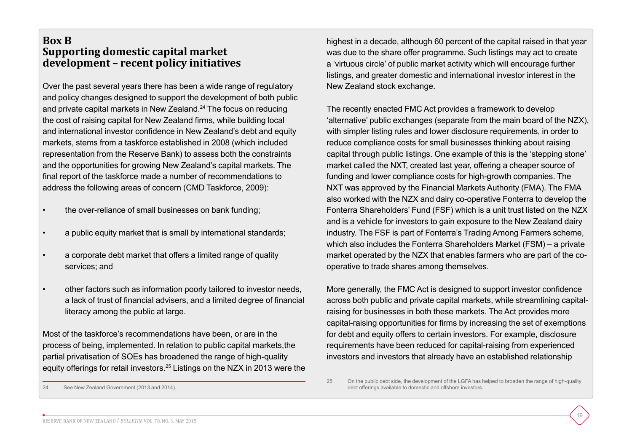#### **Box B Supporting domestic capital market development – recent policy initiatives**

Over the past several years there has been a wide range of regulatory and policy changes designed to support the development of both public and private capital markets in New Zealand.24 The focus on reducing the cost of raising capital for New Zealand firms, while building local and international investor confidence in New Zealand's debt and equity markets, stems from a taskforce established in 2008 (which included representation from the Reserve Bank) to assess both the constraints and the opportunities for growing New Zealand's capital markets. The final report of the taskforce made a number of recommendations to address the following areas of concern (CMD Taskforce, 2009):

- the over-reliance of small businesses on bank funding;
- a public equity market that is small by international standards;
- a corporate debt market that offers a limited range of quality services; and
- other factors such as information poorly tailored to investor needs, a lack of trust of financial advisers, and a limited degree of financial literacy among the public at large.

Most of the taskforce's recommendations have been, or are in the process of being, implemented. In relation to public capital markets,the partial privatisation of SOEs has broadened the range of high-quality equity offerings for retail investors.25 Listings on the NZX in 2013 were the highest in a decade, although 60 percent of the capital raised in that year was due to the share offer programme. Such listings may act to create a 'virtuous circle' of public market activity which will encourage further listings, and greater domestic and international investor interest in the New Zealand stock exchange.

The recently enacted FMC Act provides a framework to develop 'alternative' public exchanges (separate from the main board of the NZX), with simpler listing rules and lower disclosure requirements, in order to reduce compliance costs for small businesses thinking about raising capital through public listings. One example of this is the 'stepping stone' market called the NXT, created last year, offering a cheaper source of funding and lower compliance costs for high-growth companies. The NXT was approved by the Financial Markets Authority (FMA). The FMA also worked with the NZX and dairy co-operative Fonterra to develop the Fonterra Shareholders' Fund (FSF) which is a unit trust listed on the NZX and is a vehicle for investors to gain exposure to the New Zealand dairy industry. The FSF is part of Fonterra's Trading Among Farmers scheme, which also includes the Fonterra Shareholders Market (FSM) – a private market operated by the NZX that enables farmers who are part of the cooperative to trade shares among themselves.

More generally, the FMC Act is designed to support investor confidence across both public and private capital markets, while streamlining capitalraising for businesses in both these markets. The Act provides more capital-raising opportunities for firms by increasing the set of exemptions for debt and equity offers to certain investors. For example, disclosure requirements have been reduced for capital-raising from experienced investors and investors that already have an established relationship

<sup>24</sup> See New Zealand Government (2013 and 2014).

<sup>25</sup> On the public debt side, the development of the LGFA has helped to broaden the range of high-quality debt offerings available to domestic and offshore investors.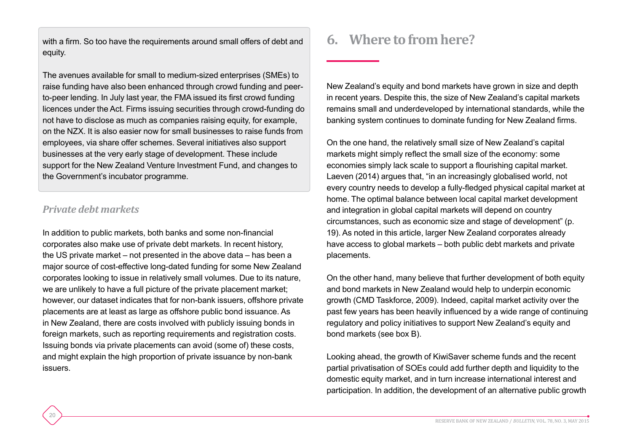with a firm. So too have the requirements around small offers of debt and equity.

The avenues available for small to medium-sized enterprises (SMEs) to raise funding have also been enhanced through crowd funding and peerto-peer lending. In July last year, the FMA issued its first crowd funding licences under the Act. Firms issuing securities through crowd-funding do not have to disclose as much as companies raising equity, for example, on the NZX. It is also easier now for small businesses to raise funds from employees, via share offer schemes. Several initiatives also support businesses at the very early stage of development. These include support for the New Zealand Venture Investment Fund, and changes to the Government's incubator programme.

#### *Private debt markets*

20

In addition to public markets, both banks and some non-financial corporates also make use of private debt markets. In recent history, the US private market – not presented in the above data – has been a major source of cost-effective long-dated funding for some New Zealand corporates looking to issue in relatively small volumes. Due to its nature, we are unlikely to have a full picture of the private placement market; however, our dataset indicates that for non-bank issuers, offshore private placements are at least as large as offshore public bond issuance. As in New Zealand, there are costs involved with publicly issuing bonds in foreign markets, such as reporting requirements and registration costs. Issuing bonds via private placements can avoid (some of) these costs, and might explain the high proportion of private issuance by non-bank issuers.

## **6. Where to from here?**

New Zealand's equity and bond markets have grown in size and depth in recent years. Despite this, the size of New Zealand's capital markets remains small and underdeveloped by international standards, while the banking system continues to dominate funding for New Zealand firms.

On the one hand, the relatively small size of New Zealand's capital markets might simply reflect the small size of the economy: some economies simply lack scale to support a flourishing capital market. Laeven (2014) argues that, "in an increasingly globalised world, not every country needs to develop a fully-fledged physical capital market at home. The optimal balance between local capital market development and integration in global capital markets will depend on country circumstances, such as economic size and stage of development" (p. 19). As noted in this article, larger New Zealand corporates already have access to global markets – both public debt markets and private placements.

On the other hand, many believe that further development of both equity and bond markets in New Zealand would help to underpin economic growth (CMD Taskforce, 2009). Indeed, capital market activity over the past few years has been heavily influenced by a wide range of continuing regulatory and policy initiatives to support New Zealand's equity and bond markets (see box B).

Looking ahead, the growth of KiwiSaver scheme funds and the recent partial privatisation of SOEs could add further depth and liquidity to the domestic equity market, and in turn increase international interest and participation. In addition, the development of an alternative public growth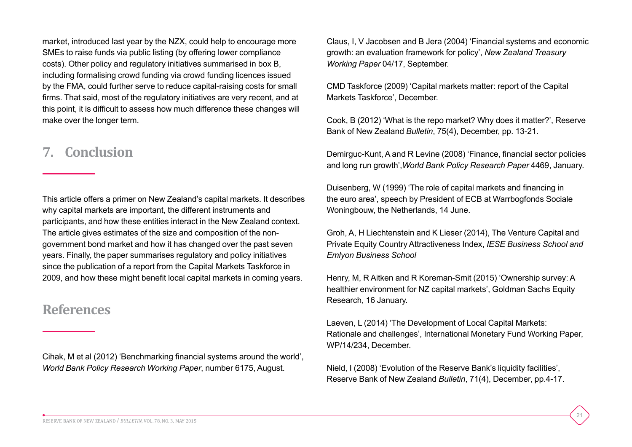market, introduced last year by the NZX, could help to encourage more SMEs to raise funds via public listing (by offering lower compliance costs). Other policy and regulatory initiatives summarised in box B, including formalising crowd funding via crowd funding licences issued by the FMA, could further serve to reduce capital-raising costs for small firms. That said, most of the regulatory initiatives are very recent, and at this point, it is difficult to assess how much difference these changes will make over the longer term.

### **7. Conclusion**

This article offers a primer on New Zealand's capital markets. It describes why capital markets are important, the different instruments and participants, and how these entities interact in the New Zealand context. The article gives estimates of the size and composition of the nongovernment bond market and how it has changed over the past seven years. Finally, the paper summarises regulatory and policy initiatives since the publication of a report from the Capital Markets Taskforce in 2009, and how these might benefit local capital markets in coming years.

### **References**

Cihak, M et al (2012) 'Benchmarking financial systems around the world', *World Bank Policy Research Working Paper*, number 6175, August.

Claus, I, V Jacobsen and B Jera (2004) 'Financial systems and economic growth: an evaluation framework for policy', *New Zealand Treasury Working Paper* 04/17, September.

CMD Taskforce (2009) 'Capital markets matter: report of the Capital Markets Taskforce', December.

Cook, B (2012) 'What is the repo market? Why does it matter?', Reserve Bank of New Zealand *Bulletin*, 75(4), December, pp. 13-21.

Demirguc-Kunt, A and R Levine (2008) 'Finance, financial sector policies and long run growth',*World Bank Policy Research Paper* 4469, January.

Duisenberg, W (1999) 'The role of capital markets and financing in the euro area', speech by President of ECB at Warrbogfonds Sociale Woningbouw, the Netherlands, 14 June.

Groh, A, H Liechtenstein and K Lieser (2014), The Venture Capital and Private Equity Country Attractiveness Index, *IESE Business School and Emlyon Business School*

Henry, M, R Aitken and R Koreman-Smit (2015) 'Ownership survey: A healthier environment for NZ capital markets', Goldman Sachs Equity Research, 16 January.

Laeven, L (2014) 'The Development of Local Capital Markets: Rationale and challenges', International Monetary Fund Working Paper, WP/14/234, December.

21

Nield, I (2008) 'Evolution of the Reserve Bank's liquidity facilities', Reserve Bank of New Zealand *Bulletin*, 71(4), December, pp.4-17.